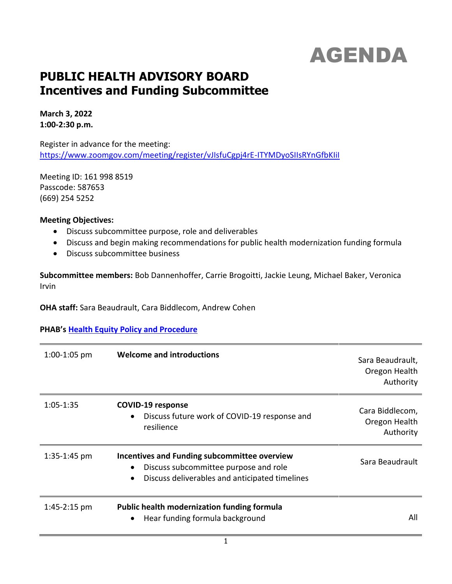# AGENDA

# **PUBLIC HEALTH ADVISORY BOARD Incentives and Funding Subcommittee**

**March 3, 2022 1:00-2:30 p.m.**

Register in advance for the meeting: <https://www.zoomgov.com/meeting/register/vJIsfuCgpj4rE-ITYMDyoSIIsRYnGfbKIiI>

Meeting ID: 161 998 8519 Passcode: 587653 (669) 254 5252

#### **Meeting Objectives:**

- Discuss subcommittee purpose, role and deliverables
- Discuss and begin making recommendations for public health modernization funding formula
- Discuss subcommittee business

**Subcommittee members:** Bob Dannenhoffer, Carrie Brogoitti, Jackie Leung, Michael Baker, Veronica Irvin

**OHA staff:** Sara Beaudrault, Cara Biddlecom, Andrew Cohen

## **PHAB's [Health Equity Policy and Procedure](https://www.oregon.gov/oha/PH/ABOUT/Documents/phab/PHAB-health-equity.pdf)**

| $1:00-1:05$ pm | <b>Welcome and introductions</b>                                                                                                        | Sara Beaudrault,<br>Oregon Health<br>Authority |
|----------------|-----------------------------------------------------------------------------------------------------------------------------------------|------------------------------------------------|
| $1:05 - 1:35$  | <b>COVID-19 response</b><br>Discuss future work of COVID-19 response and<br>resilience                                                  | Cara Biddlecom,<br>Oregon Health<br>Authority  |
| $1:35-1:45$ pm | Incentives and Funding subcommittee overview<br>Discuss subcommittee purpose and role<br>Discuss deliverables and anticipated timelines | Sara Beaudrault                                |
| $1:45-2:15$ pm | <b>Public health modernization funding formula</b><br>Hear funding formula background                                                   | All                                            |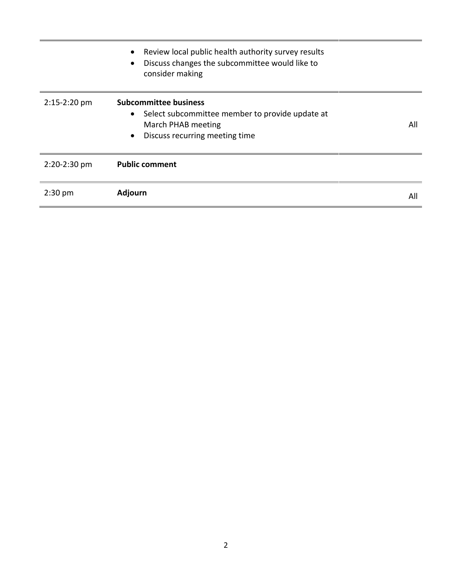|              | Review local public health authority survey results<br>$\bullet$<br>Discuss changes the subcommittee would like to<br>consider making                             |     |
|--------------|-------------------------------------------------------------------------------------------------------------------------------------------------------------------|-----|
| 2:15-2:20 pm | <b>Subcommittee business</b><br>Select subcommittee member to provide update at<br>$\bullet$<br>March PHAB meeting<br>Discuss recurring meeting time<br>$\bullet$ | All |
| 2:20-2:30 pm | <b>Public comment</b>                                                                                                                                             |     |
| $2:30$ pm    | Adjourn                                                                                                                                                           | All |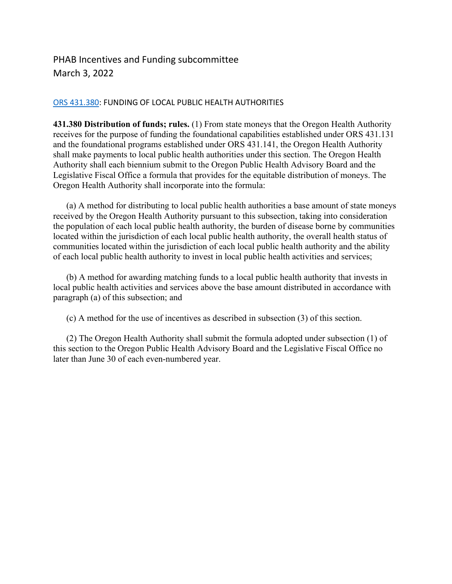# PHAB Incentives and Funding subcommittee March 3, 2022

#### [ORS 431.380:](https://www.oregonlegislature.gov/bills_laws/ors/ors431.html) FUNDING OF LOCAL PUBLIC HEALTH AUTHORITIES

**431.380 Distribution of funds; rules.** (1) From state moneys that the Oregon Health Authority receives for the purpose of funding the foundational capabilities established under ORS 431.131 and the foundational programs established under ORS 431.141, the Oregon Health Authority shall make payments to local public health authorities under this section. The Oregon Health Authority shall each biennium submit to the Oregon Public Health Advisory Board and the Legislative Fiscal Office a formula that provides for the equitable distribution of moneys. The Oregon Health Authority shall incorporate into the formula:

 (a) A method for distributing to local public health authorities a base amount of state moneys received by the Oregon Health Authority pursuant to this subsection, taking into consideration the population of each local public health authority, the burden of disease borne by communities located within the jurisdiction of each local public health authority, the overall health status of communities located within the jurisdiction of each local public health authority and the ability of each local public health authority to invest in local public health activities and services;

 (b) A method for awarding matching funds to a local public health authority that invests in local public health activities and services above the base amount distributed in accordance with paragraph (a) of this subsection; and

(c) A method for the use of incentives as described in subsection (3) of this section.

 (2) The Oregon Health Authority shall submit the formula adopted under subsection (1) of this section to the Oregon Public Health Advisory Board and the Legislative Fiscal Office no later than June 30 of each even-numbered year.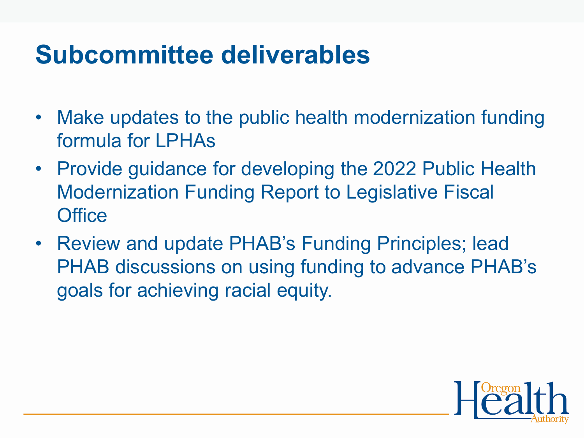# **Subcommittee deliverables**

- Make updates to the public health modernization funding formula for LPHAs
- Provide guidance for developing the 2022 Public Health Modernization Funding Report to Legislative Fiscal **Office**
- Review and update PHAB's Funding Principles; lead PHAB discussions on using funding to advance PHAB's goals for achieving racial equity.

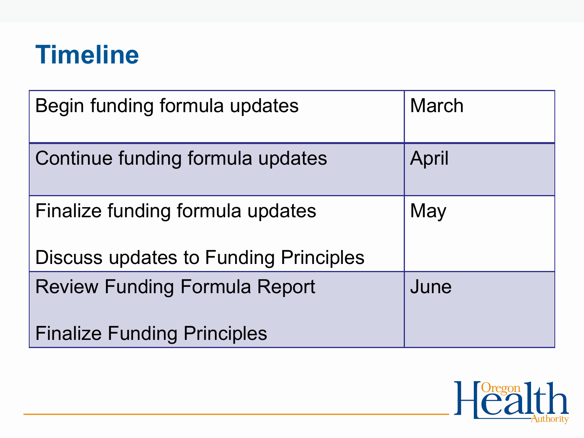# **Timeline**

| Begin funding formula updates                | <b>March</b> |
|----------------------------------------------|--------------|
| Continue funding formula updates             | April        |
| Finalize funding formula updates             | May          |
| <b>Discuss updates to Funding Principles</b> |              |
| <b>Review Funding Formula Report</b>         | June         |
| <b>Finalize Funding Principles</b>           |              |

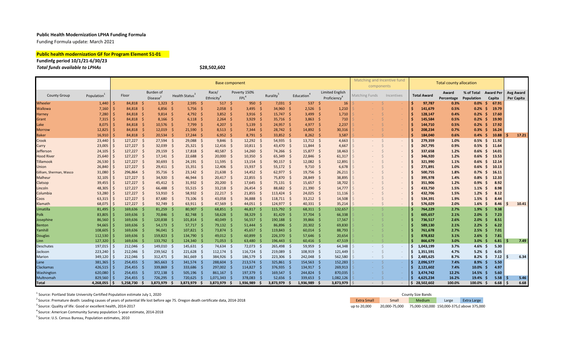#### **Public Health Modernization LPHA Funding Formula**

Funding Formula update: March 2021

#### **Public health modernization GF for Program Element 51-01**

#### **Fundinfg period 10/1/21-6/30/23** *Total funds available to LPHAs* **\$28,502,602**

|                         |              |     |              |      |                                   |     |                            |      | <b>Base component</b>           |     |                                  |    |              |      |                        |     |                                                    | Matching and Incentive fund<br>components |            |     |                    | <b>Total county allocation</b> |                          |                            |       |     |                         |
|-------------------------|--------------|-----|--------------|------|-----------------------------------|-----|----------------------------|------|---------------------------------|-----|----------------------------------|----|--------------|------|------------------------|-----|----------------------------------------------------|-------------------------------------------|------------|-----|--------------------|--------------------------------|--------------------------|----------------------------|-------|-----|-------------------------|
| <b>County Group</b>     | Population   |     | Floor        |      | Burden of<br>Disease <sup>®</sup> |     | Health Status <sup>3</sup> |      | Race/<br>Ethnicity <sup>4</sup> |     | Poverty 150%<br>FPL <sup>4</sup> |    | Rurality     |      | Education <sup>4</sup> |     | <b>Limited English</b><br>Proficiency <sup>4</sup> | Matching Funds                            | Incentives |     | <b>Total Award</b> | Award<br>Percentage            | % of Total<br>Population | <b>Award Per</b><br>Capita |       |     | Avg Award<br>Per Capita |
| Wheeler                 | $1,440$   \$ |     | 84,818 \$    |      | $1,323$ \$                        |     | 2,595                      | - \$ | 517S                            |     | 950                              |    | 7,031        | -S   | 537                    | -S  | 16                                                 |                                           |            | Ŝ   | 97,787             | 0.3%                           | 0.0%                     | -S                         | 67.91 |     |                         |
| <b>Wallowa</b>          | 7,160        |     | 84,818       | - \$ | $6,856$ \$                        |     | 5,756                      | - \$ | $2,058$ \$                      |     | 3,495                            |    | 34,960       | - \$ | 2,526                  | -S  | 1,210                                              |                                           |            |     | 141,679            | 0.5%                           | 0.2%                     |                            | 19.79 |     |                         |
| Harney                  | 7,280        |     | 84,818 \$    |      | $9,814$ \$                        |     | 4,792                      | - \$ | $3,852$ \$                      |     | 3,916                            |    | 15,747       | - \$ | 3,499                  | -S  | 1,710                                              |                                           |            |     | 128,147            | 0.4%                           | 0.2%                     |                            | 17.60 |     |                         |
| Grant                   | $7,315$ \$   |     | 84,818 \$    |      | $8,166$ \$                        |     | 6,118                      | - \$ | $2,264$ \$                      |     | 3,929                            |    | $35,716$ \$  |      | 3,863                  | -Ś  | 710                                                |                                           |            |     | 145,584            | 0.5%                           | 0.2%                     |                            | 19.90 |     |                         |
| Lake                    | 8,075        |     | 84,818 \$    |      | $10,576$ \$                       |     | $7,799$ \$                 |      | 4,207 \$                        |     | 5,139                            |    | $24,957$ \$  |      | $4,977$ \$             |     | 2,237                                              |                                           |            |     | 144,710            | 0.5%                           | 0.2%                     |                            | 17.92 |     |                         |
| <b>Morrow</b>           | 12,825       |     | 84,818 \$    |      | $12,019$ \$                       |     | 21,590                     | - S  | $8,513$ \$                      |     | $7,344$ \$                       |    | 28,742 \$    |      | 14,892                 |     | 30,316                                             |                                           |            |     | 208,234            | 0.7%                           | 0.3%                     |                            | 16.24 |     |                         |
| <b>Baker</b>            | 16,910       |     | 84,818 \$    |      | $20,534$ \$                       |     | $17,244$ \$                |      | $6,952$ \$                      |     | $8,791$ \$                       |    | $33,852$ \$  |      | 8,262                  |     | 3,587                                              |                                           |            | Ŝ   | 184,040            | 0.6%                           | 0.4%                     | -S                         | 10.88 |     | 17.21                   |
| Crook                   | $23,440$ \$  |     | $127,227$ \$ |      | $27,594$ \$                       |     | 29,088                     | - \$ | $9,846$ \$                      |     | $12,292$ \$                      |    | $54,935$ \$  |      | $13,712$ \$            |     | 4,663                                              | $\sim$                                    | $\sim$     | Ŝ.  | 279,359            | 1.0%                           | 0.5%                     | -S                         | 11.92 |     |                         |
| Curry                   | $23,005$ \$  |     | $127,227$ \$ |      | 32,039 \$                         |     | $25,321$ \$                |      | $12,416$ \$                     |     | $10,811$ \$                      |    | 43,470 \$    |      | 11,844                 | -S  | 4,667                                              |                                           | $\sim$     | Ŝ.  | 267,795            | 0.9%                           | 0.5%                     | -S                         | 11.64 |     |                         |
| Jefferson               | 24,105       |     | $127,227$ \$ |      | $29,159$ \$                       |     | 17,818                     | - \$ | $40,587$ \$                     |     | 14,260                           |    | 74,266 \$    |      | 15,877                 | -Ŝ  | 18,463                                             |                                           | $\sim$     | Ŝ.  | 337,658            | 1.2%                           | 0.6%                     |                            | 14.01 |     |                         |
| <b>Hood River</b>       | 25,640       | l S | $127,227$ \$ |      | $17,141 \quad$ \$                 |     | $22,688$ \$                |      | 20,000                          | - S | $10,350$ \$                      |    | $65,349$ \$  |      | 22,846                 | - Ś | 61,317                                             |                                           | $\sim$     | Ŝ   | 346,920            | 1.2%                           | 0.6%                     | -S                         | 13.53 |     |                         |
| <b>Tillamook</b>        | 26,530       | l S | $127,227$ \$ |      | $30,693$ \$                       |     | $24,191$ \$                |      | $11,595$ \$                     |     | $13,154$ \$                      |    | $90,157$ \$  |      | 12,082                 | -S  | 12,891                                             |                                           |            | Ŝ   | 321,990            | 1.1%                           | 0.6%                     | -S                         | 12.14 |     |                         |
| <b>Union</b>            | $26,840$ \$  |     | $127,227$ \$ |      | $29,411$ \$                       |     | 15,351                     | - S  | $12,406$ \$                     |     | 15,937                           |    | $55,172$ \$  |      | 9,710                  | -S  | 6,678                                              |                                           | $\sim$     |     | 271,891            | 1.0%                           | 0.6%                     |                            | 10.13 |     |                         |
| Gilliam, Sherman, Wasco | 31,080       |     | 296,864 \$   |      | $35,716$ \$                       |     | $23,142$ \$                |      | $21,638$ \$                     |     | $14,452$ \$                      |    | $62,977$ \$  |      | $19,756$ \$            |     | 26,211                                             |                                           | $\sim$     |     | 500,755            | 1.8%                           | 0.7%                     |                            | 16.11 |     |                         |
| Malheur                 | 32,105       |     | $127,227$ \$ |      | 34,920 \$                         |     | 46,944                     |      | $20,417$ \$                     |     | $22,855$ \$                      |    | 75,870 \$    |      | 28,849                 |     | 38,895                                             |                                           | $\sim$     |     | 395,978            | 1.4%                           | 0.8%                     |                            | 12.33 |     |                         |
| Clatsop                 | 39,455       |     | $127,227$ \$ |      | 45,412 \$                         |     | $31,932$ \$                |      | $20,200$ \$                     |     | $17,645$ \$                      |    | $75,131$ \$  |      | 15,657                 | - Ś | 18,702                                             |                                           | $\sim$     | Ŝ   | 351,906            | 1.2%                           | 0.9%                     |                            | 8.92  |     |                         |
| Lincoln                 | 48,305       |     | $127,227$ \$ |      | 66,488 \$                         |     | $55,515$ \$                |      | $33,218$ \$                     |     | $26,454$ \$                      |    | 88,682 \$    |      | 21,390                 | -S  | 14,777                                             |                                           | $\sim$     | Ŝ   | 433,750            | 1.5%                           | 1.1%                     |                            | 8.98  |     |                         |
| Columbia                | $53,280$ \$  |     | $127,227$ \$ |      | 53,910 \$                         |     | 58,932 \$                  |      | $22,217$ \$                     |     | $21,855$ \$                      |    | $113,424$ \$ |      | 24,025                 | -S  | 11,116                                             |                                           | $\sim$     | \$  | 432,706            | 1.5%                           | 1.2%                     |                            | 8.12  |     |                         |
| Coos                    | $63,315$ \$  |     | $127,227$ \$ |      | 87,680 \$                         |     | 73,106 \$                  |      | $43,058$ \$                     |     | 36,888 \$                        |    | $118,711$ \$ |      | $33,212$ \$            |     | 14,508                                             |                                           | $\sim$     | \$  | 534,391            | 1.9%                           | 1.5%                     | -S                         | 8.44  |     |                         |
| Klamath                 | 68,075       |     | $127,227$ \$ |      | $92,749$ \$                       |     | $63,911$ \$                |      | 47,569 \$                       |     | $44,051$ \$                      |    | 124,977 \$   |      | $40,331$ \$            |     | 35,214                                             |                                           | $\sim$     | \$. | 576,029            | 2.0%                           | $1.6\%$ \$               |                            | 8.46  |     | 10.41                   |
| Umatilla                | 81,495       |     | $169,636$ \$ |      | $81,259$ \$                       |     | 80,907                     | - S  | $68,851$ \$                     |     | $46,817$ \$                      |    | 115,792 \$   |      | $68,311$ \$            |     | 132,657                                            |                                           |            | Ŝ   | 764,229            | 2.7%                           | $1.9\%$ \$               |                            | 9.38  |     |                         |
| Polk                    | 83,805       |     | 169,636      | - S  | 70,846 \$                         |     | 82,748                     | - S  | $58,628$ \$                     |     | 38,329                           |    | $81,429$ \$  |      | 37,704                 | -S  | 66,338                                             |                                           |            |     | 605,657            | 2.1%                           | $2.0\%$ \$               |                            | 7.23  |     |                         |
| Josephine               | 86,560       |     | 169,636 \$   |      | 120,838 \$                        |     | 101,814                    |      | 40,049 \$                       |     | 56,557                           |    | 190,188 \$   |      | 39,866                 |     | 17,567                                             |                                           |            |     | 736,517            | 2.6%                           | $2.0\%$ \$               |                            | 8.51  |     |                         |
| <b>Benton</b>           | 94,665       |     | $169,636$ \$ |      | $54,173$ \$                       |     | $57,717$ \$                |      | $79,132$ \$                     |     | 51,444                           |    | $86,896$ \$  |      | 20,302                 |     | 69,830                                             |                                           |            |     | 589,130            | 2.1%                           | 2.2%                     |                            | 6.22  |     |                         |
| Yamhill                 | 108,605      |     | $169,636$ \$ |      | $96,041$ \$                       |     | 107,821                    |      | 73,874 \$                       |     | $45,657$ \$                      |    | 119,843 \$   |      | 60,014                 |     | 88,793                                             |                                           |            |     | 761,678            | 2.7%                           | $2.5%$ \$                |                            | 7.01  |     |                         |
| Douglas                 | 112,530      |     | $169,636$ \$ |      | 159,823 \$                        |     | 134,790 \$                 |      | $49,012$ \$                     |     | 60,899                           |    | 226,370 \$   |      | $57,646$ \$            |     | 20,654                                             |                                           |            | Ŝ   | 878,832            | 3.1%                           | $2.6\%$ \$               |                            | 7.81  |     |                         |
| Linn                    | 127,320      |     | $169,636$ \$ |      | 133,792 \$                        |     | 124,340                    |      | $71,053$ \$                     |     | 63,480                           |    | 196,443 \$   |      | 60,416                 |     | 47,519                                             |                                           |            |     | 866,679            | 3.0%                           | $3.0\%$ \$               |                            | 6.81  |     | 7.49                    |
| <b>Deschutes</b>        | 197,015 \$   |     | 212,046 \$   |      | 149,010 \$                        |     | $145,631$ \$               |      | 74,634 \$                       |     | 72,073 \$                        |    | 265,498 \$   |      | 59,959                 | -S  | 64,348                                             |                                           | $\sim$     |     | 1,043,199          | 3.7%                           | 4.6% \$                  |                            | 5.30  |     |                         |
| Jackson                 | 223,240      |     | $212,046$ \$ |      | 239,562 \$                        |     | 221,628                    | - S  | $112,174$ \$                    |     | $116,724$ \$                     |    | 219,089 \$   |      | $108,919$ \$           |     | 121,449                                            |                                           | $\sim$     | Ŝ.  | 1,351,591          | 4.7%                           | $5.2\%$ \$               |                            | 6.05  |     |                         |
| Marion                  | 349,120      |     | 212,046 \$   |      | $312,471$ \$                      |     | 361,669                    |      | 384,926 \$                      |     | 186,579 \$                       |    | 223,306 \$   |      | 242,048 \$             |     | 562,580                                            |                                           | $\sim$     |     | 2,485,625          | 8.7%                           | $8.2\%$ \$               |                            | 7.12  | .\$ | 6.34                    |
| Lane                    | 381,365      |     | $254,455$ \$ |      | 365,663 \$                        |     | 341,574                    |      | 288,604 \$                      |     | $213,574$ \$                     |    | 325,861 \$   |      | $154,563$ \$           |     | 152,283                                            |                                           |            |     | 2,096,577          | 7.4%                           | $8.9\%$ \$               |                            | 5.50  |     |                         |
| Clackamas               | 426,515      |     | 254,455      | - \$ | 339,869 \$                        |     | 333,686                    |      | 297,002 \$                      |     | 114,827                          |    | 376,935 \$   |      | 134,917 \$             |     | 269,913                                            |                                           |            |     | 2,121,602          | 7.4%                           | $10.0\%$ \$              |                            | 4.97  |     |                         |
| Washington              | 620,080      |     | 254,455      |      | $372,138$ \$                      |     | 505,196                    |      | 861,167 \$                      |     | 197,379                          |    | 169,547 \$   |      | 244,824 \$             |     | 870,035                                            |                                           |            |     | 3,474,742          | 12.2%                          | $14.5%$ \$               |                            | 5.60  |     |                         |
| Multnomah               | 829,560      |     | 254,455      |      | 726,295 \$                        |     | 720,625                    |      | 1,071,343                       |     | 378,083                          |    | 52,656       |      | 339,653                |     | 1,082,126                                          |                                           |            |     | 4,625,234          | 16.2%                          | 19.4%                    |                            | 5.58  |     | 5.46                    |
| <b>Total</b>            | 4,268,055    | l S | 5,258,730    | - S  | 3,873,979                         | - S | 3,873,979                  | - Ś  | 3,873,979                       | - S | 1,936,989                        | Ŝ. | 3,873,979 \$ |      | 1,936,989              |     | 3,873,979                                          |                                           |            | S.  | 28,502,602         | 100.0%                         | 100.0%                   |                            | 6.68  | Ŝ.  | 6.68                    |

| <sup>1</sup> Source: Portland State University Certified Population estimate July 1, 2020 |
|-------------------------------------------------------------------------------------------|
|-------------------------------------------------------------------------------------------|

<sup>4</sup>Source: American Community Survey population 5-year estimate, 2014-2018

<sup>5</sup> Source: U.S. Census Bureau, Population estimates, 2010

| <sup>1</sup> Source: Portland State University Certified Population estimate July 1, 2020                                       | <b>County Size Bands</b> |               |        |       |                                            |  |  |  |
|---------------------------------------------------------------------------------------------------------------------------------|--------------------------|---------------|--------|-------|--------------------------------------------|--|--|--|
| Source: Premature death: Leading causes of years of potential life lost before age 75. Oregon death certificate data, 2014-2018 | <b>Extra Small</b>       | Small         | Medium | Large | <b>Extra Large</b>                         |  |  |  |
| <sup>3</sup> Source: Quality of life: Good or excellent health, 2014-2017                                                       | up to 20,000             | 20,000-75,000 |        |       | 75,000-150,000 150,000-375,0 above 375,000 |  |  |  |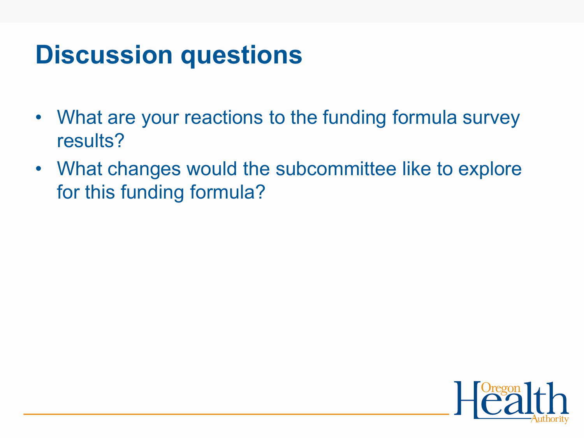# **Discussion questions**

- What are your reactions to the funding formula survey results?
- What changes would the subcommittee like to explore for this funding formula?

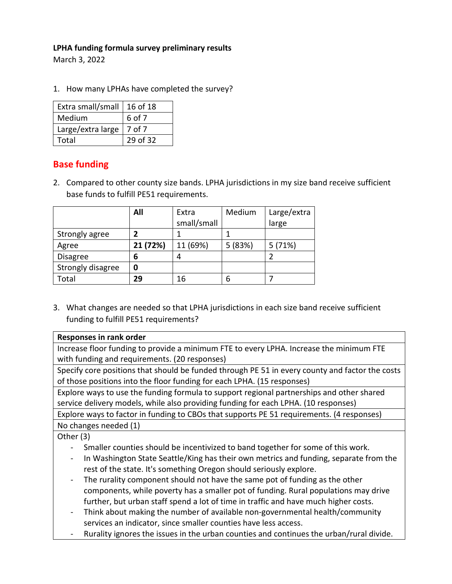# **LPHA funding formula survey preliminary results**

March 3, 2022

1. How many LPHAs have completed the survey?

| Extra small/small | $ 16$ of 18 |
|-------------------|-------------|
| Medium            | 6 of 7      |
| Large/extra large | 7 of 7      |
| Total             | 29 of 32    |

# **Base funding**

2. Compared to other county size bands. LPHA jurisdictions in my size band receive sufficient base funds to fulfill PE51 requirements.

|                   | All      | Extra       | Medium  | Large/extra |
|-------------------|----------|-------------|---------|-------------|
|                   |          | small/small |         | large       |
| Strongly agree    |          |             |         |             |
| Agree             | 21 (72%) | 11 (69%)    | 5 (83%) | 5(71%)      |
| <b>Disagree</b>   | 6        | л           |         |             |
| Strongly disagree | 0        |             |         |             |
| Total             | 29       | 16          | 6       |             |

3. What changes are needed so that LPHA jurisdictions in each size band receive sufficient funding to fulfill PE51 requirements?

| Responses in rank order                                                                 |
|-----------------------------------------------------------------------------------------|
| Increase floor funding to provide a minimum FTE to every LPHA. Increase the minimum FTE |
| with funding and requirements. (20 responses)                                           |

Specify core positions that should be funded through PE 51 in every county and factor the costs of those positions into the floor funding for each LPHA. (15 responses)

Explore ways to use the funding formula to support regional partnerships and other shared service delivery models, while also providing funding for each LPHA. (10 responses)

Explore ways to factor in funding to CBOs that supports PE 51 requirements. (4 responses) No changes needed (1)

Other (3)

- Smaller counties should be incentivized to band together for some of this work.
- In Washington State Seattle/King has their own metrics and funding, separate from the rest of the state. It's something Oregon should seriously explore.
- The rurality component should not have the same pot of funding as the other components, while poverty has a smaller pot of funding. Rural populations may drive further, but urban staff spend a lot of time in traffic and have much higher costs.
- Think about making the number of available non-governmental health/community services an indicator, since smaller counties have less access.
- Rurality ignores the issues in the urban counties and continues the urban/rural divide.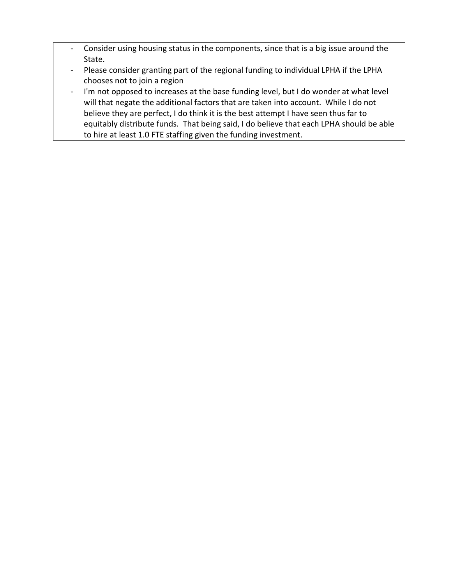- Consider using housing status in the components, since that is a big issue around the State.
- Please consider granting part of the regional funding to individual LPHA if the LPHA chooses not to join a region
- I'm not opposed to increases at the base funding level, but I do wonder at what level will that negate the additional factors that are taken into account. While I do not believe they are perfect, I do think it is the best attempt I have seen thus far to equitably distribute funds. That being said, I do believe that each LPHA should be able to hire at least 1.0 FTE staffing given the funding investment.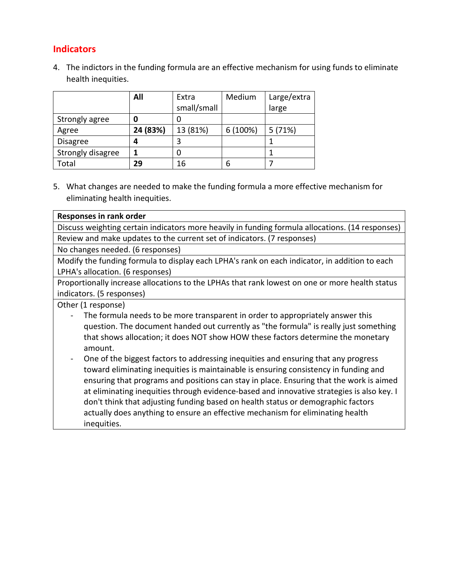# **Indicators**

4. The indictors in the funding formula are an effective mechanism for using funds to eliminate health inequities.

|                   | All      | Extra       | Medium   | Large/extra |
|-------------------|----------|-------------|----------|-------------|
|                   |          | small/small |          | large       |
| Strongly agree    |          |             |          |             |
| Agree             | 24 (83%) | 13 (81%)    | 6 (100%) | 5(71%)      |
| <b>Disagree</b>   |          | 3           |          |             |
| Strongly disagree |          | 0           |          |             |
| Total             | 29       | 16          | 6        |             |

5. What changes are needed to make the funding formula a more effective mechanism for eliminating health inequities.

| Responses in rank order                                                                          |
|--------------------------------------------------------------------------------------------------|
| Discuss weighting certain indicators more heavily in funding formula allocations. (14 responses) |
| Review and make updates to the current set of indicators. (7 responses)                          |

No changes needed. (6 responses)

Modify the funding formula to display each LPHA's rank on each indicator, in addition to each LPHA's allocation. (6 responses)

Proportionally increase allocations to the LPHAs that rank lowest on one or more health status indicators. (5 responses)

Other (1 response)

- The formula needs to be more transparent in order to appropriately answer this question. The document handed out currently as "the formula" is really just something that shows allocation; it does NOT show HOW these factors determine the monetary amount.
- One of the biggest factors to addressing inequities and ensuring that any progress toward eliminating inequities is maintainable is ensuring consistency in funding and ensuring that programs and positions can stay in place. Ensuring that the work is aimed at eliminating inequities through evidence-based and innovative strategies is also key. I don't think that adjusting funding based on health status or demographic factors actually does anything to ensure an effective mechanism for eliminating health inequities.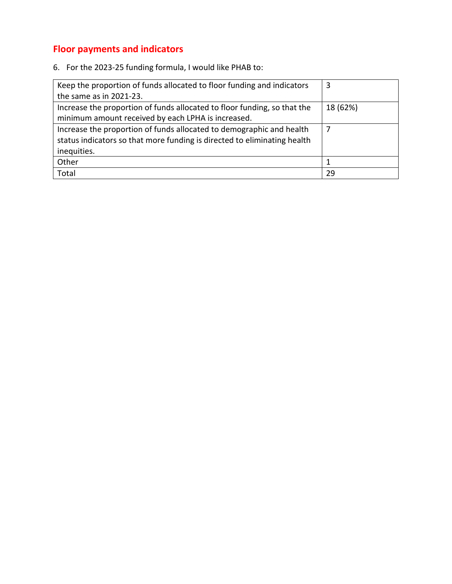# **Floor payments and indicators**

6. For the 2023-25 funding formula, I would like PHAB to:

| Keep the proportion of funds allocated to floor funding and indicators   | 3             |
|--------------------------------------------------------------------------|---------------|
| the same as in 2021-23.                                                  |               |
| Increase the proportion of funds allocated to floor funding, so that the | 18 (62%)      |
| minimum amount received by each LPHA is increased.                       |               |
| Increase the proportion of funds allocated to demographic and health     | $\mathcal{L}$ |
| status indicators so that more funding is directed to eliminating health |               |
| inequities.                                                              |               |
| Other                                                                    |               |
| Total                                                                    | 29            |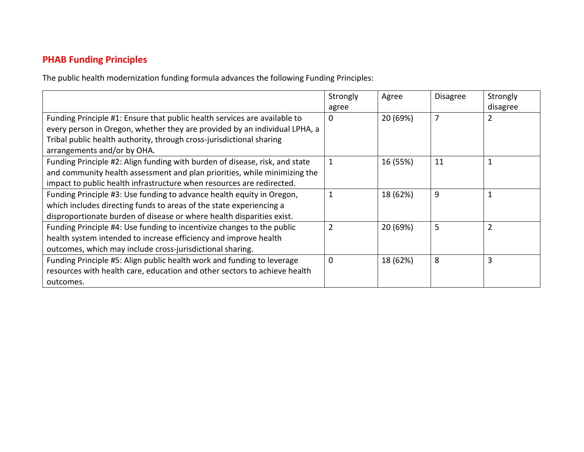# **PHAB Funding Principles**

The public health modernization funding formula advances the following Funding Principles:

|                                                                             | Strongly       | Agree    | <b>Disagree</b> | Strongly |
|-----------------------------------------------------------------------------|----------------|----------|-----------------|----------|
|                                                                             | agree          |          |                 | disagree |
| Funding Principle #1: Ensure that public health services are available to   | 0              | 20 (69%) | 7               | 2        |
| every person in Oregon, whether they are provided by an individual LPHA, a  |                |          |                 |          |
| Tribal public health authority, through cross-jurisdictional sharing        |                |          |                 |          |
| arrangements and/or by OHA.                                                 |                |          |                 |          |
| Funding Principle #2: Align funding with burden of disease, risk, and state |                | 16 (55%) | 11              |          |
| and community health assessment and plan priorities, while minimizing the   |                |          |                 |          |
| impact to public health infrastructure when resources are redirected.       |                |          |                 |          |
| Funding Principle #3: Use funding to advance health equity in Oregon,       |                | 18 (62%) | 9               |          |
| which includes directing funds to areas of the state experiencing a         |                |          |                 |          |
| disproportionate burden of disease or where health disparities exist.       |                |          |                 |          |
| Funding Principle #4: Use funding to incentivize changes to the public      | $\overline{2}$ | 20 (69%) | 5               |          |
| health system intended to increase efficiency and improve health            |                |          |                 |          |
| outcomes, which may include cross-jurisdictional sharing.                   |                |          |                 |          |
| Funding Principle #5: Align public health work and funding to leverage      | 0              | 18 (62%) | 8               | 3        |
| resources with health care, education and other sectors to achieve health   |                |          |                 |          |
| outcomes.                                                                   |                |          |                 |          |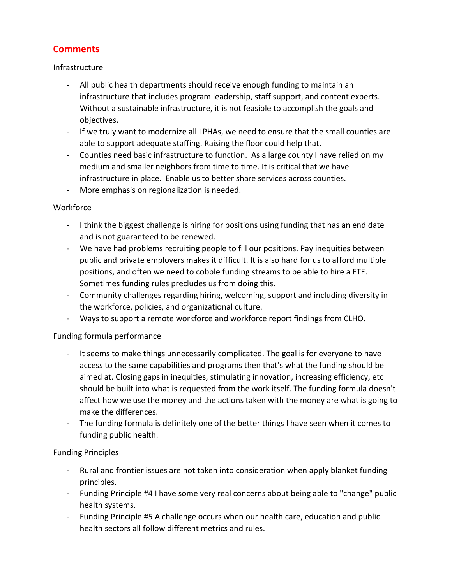# **Comments**

## Infrastructure

- All public health departments should receive enough funding to maintain an infrastructure that includes program leadership, staff support, and content experts. Without a sustainable infrastructure, it is not feasible to accomplish the goals and objectives.
- If we truly want to modernize all LPHAs, we need to ensure that the small counties are able to support adequate staffing. Raising the floor could help that.
- Counties need basic infrastructure to function. As a large county I have relied on my medium and smaller neighbors from time to time. It is critical that we have infrastructure in place. Enable us to better share services across counties.
- More emphasis on regionalization is needed.

## Workforce

- I think the biggest challenge is hiring for positions using funding that has an end date and is not guaranteed to be renewed.
- We have had problems recruiting people to fill our positions. Pay inequities between public and private employers makes it difficult. It is also hard for us to afford multiple positions, and often we need to cobble funding streams to be able to hire a FTE. Sometimes funding rules precludes us from doing this.
- Community challenges regarding hiring, welcoming, support and including diversity in the workforce, policies, and organizational culture.
- Ways to support a remote workforce and workforce report findings from CLHO.

## Funding formula performance

- It seems to make things unnecessarily complicated. The goal is for everyone to have access to the same capabilities and programs then that's what the funding should be aimed at. Closing gaps in inequities, stimulating innovation, increasing efficiency, etc should be built into what is requested from the work itself. The funding formula doesn't affect how we use the money and the actions taken with the money are what is going to make the differences.
- The funding formula is definitely one of the better things I have seen when it comes to funding public health.

## Funding Principles

- Rural and frontier issues are not taken into consideration when apply blanket funding principles.
- Funding Principle #4 I have some very real concerns about being able to "change" public health systems.
- Funding Principle #5 A challenge occurs when our health care, education and public health sectors all follow different metrics and rules.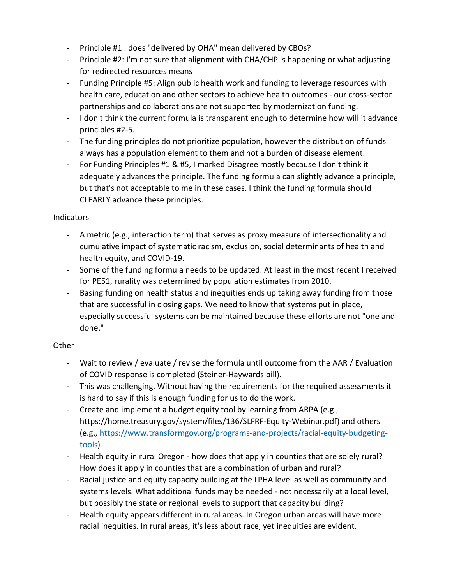- Principle #1 : does "delivered by OHA" mean delivered by CBOs?
- Principle #2: I'm not sure that alignment with CHA/CHP is happening or what adjusting for redirected resources means
- Funding Principle #5: Align public health work and funding to leverage resources with health care, education and other sectors to achieve health outcomes - our cross-sector partnerships and collaborations are not supported by modernization funding.
- I don't think the current formula is transparent enough to determine how will it advance principles #2-5.
- The funding principles do not prioritize population, however the distribution of funds always has a population element to them and not a burden of disease element.
- For Funding Principles #1 & #5, I marked Disagree mostly because I don't think it adequately advances the principle. The funding formula can slightly advance a principle, but that's not acceptable to me in these cases. I think the funding formula should CLEARLY advance these principles.

## Indicators

- A metric (e.g., interaction term) that serves as proxy measure of intersectionality and cumulative impact of systematic racism, exclusion, social determinants of health and health equity, and COVID-19.
- Some of the funding formula needs to be updated. At least in the most recent I received for PE51, rurality was determined by population estimates from 2010.
- Basing funding on health status and inequities ends up taking away funding from those that are successful in closing gaps. We need to know that systems put in place, especially successful systems can be maintained because these efforts are not "one and done."

# **Other**

- Wait to review / evaluate / revise the formula until outcome from the AAR / Evaluation of COVID response is completed (Steiner-Haywards bill).
- This was challenging. Without having the requirements for the required assessments it is hard to say if this is enough funding for us to do the work.
- Create and implement a budget equity tool by learning from ARPA (e.g., https://home.treasury.gov/system/files/136/SLFRF-Equity-Webinar.pdf) and others (e.g., [https://www.transformgov.org/programs-and-projects/racial-equity-budgeting](https://www.transformgov.org/programs-and-projects/racial-equity-budgeting-tools)[tools\)](https://www.transformgov.org/programs-and-projects/racial-equity-budgeting-tools)
- Health equity in rural Oregon how does that apply in counties that are solely rural? How does it apply in counties that are a combination of urban and rural?
- Racial justice and equity capacity building at the LPHA level as well as community and systems levels. What additional funds may be needed - not necessarily at a local level, but possibly the state or regional levels to support that capacity building?
- Health equity appears different in rural areas. In Oregon urban areas will have more racial inequities. In rural areas, it's less about race, yet inequities are evident.